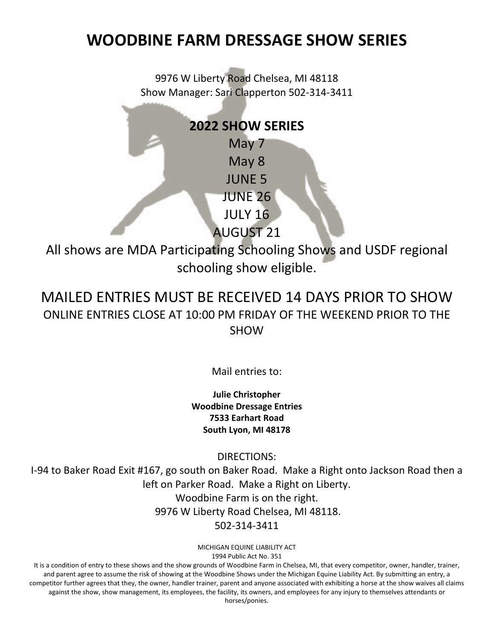9976 W Liberty Road Chelsea, MI 48118 Show Manager: Sari Clapperton 502-314-3411

### **2022 SHOW SERIES**

May 7 May 8 JUNE 5 JUNE 26 JULY 16

AUGUST 21

All shows are MDA Participating Schooling Shows and USDF regional schooling show eligible.

### MAILED ENTRIES MUST BE RECEIVED 14 DAYS PRIOR TO SHOW ONLINE ENTRIES CLOSE AT 10:00 PM FRIDAY OF THE WEEKEND PRIOR TO THE **SHOW**

Mail entries to:

**Julie Christopher Woodbine Dressage Entries 7533 Earhart Road South Lyon, MI 48178**

DIRECTIONS:

I-94 to Baker Road Exit #167, go south on Baker Road. Make a Right onto Jackson Road then a left on Parker Road. Make a Right on Liberty. Woodbine Farm is on the right. 9976 W Liberty Road Chelsea, MI 48118. 502-314-3411

> MICHIGAN EQUINE LIABILITY ACT 1994 Public Act No. 351

It is a condition of entry to these shows and the show grounds of Woodbine Farm in Chelsea, MI, that every competitor, owner, handler, trainer, and parent agree to assume the risk of showing at the Woodbine Shows under the Michigan Equine Liability Act. By submitting an entry, a competitor further agrees that they, the owner, handler trainer, parent and anyone associated with exhibiting a horse at the show waives all claims against the show, show management, its employees, the facility, its owners, and employees for any injury to themselves attendants or horses/ponies.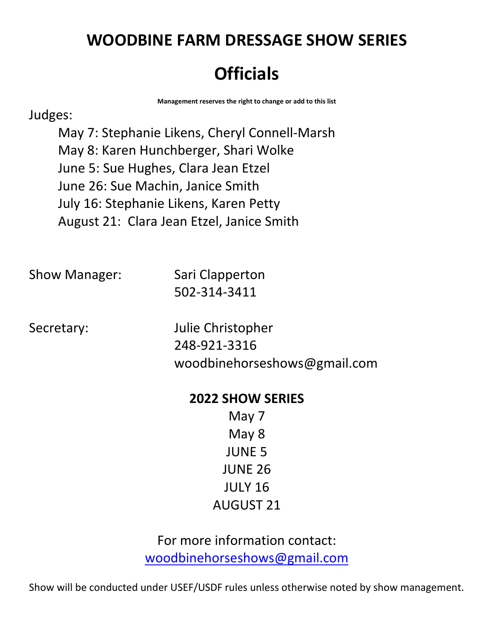# **Officials**

**Management reserves the right to change or add to this list**

#### Judges:

May 7: Stephanie Likens, Cheryl Connell-Marsh May 8: Karen Hunchberger, Shari Wolke June 5: Sue Hughes, Clara Jean Etzel June 26: Sue Machin, Janice Smith July 16: Stephanie Likens, Karen Petty August 21: Clara Jean Etzel, Janice Smith

Show Manager: Sari Clapperton 502-314-3411

Secretary: Julie Christopher 248-921-3316 woodbinehorseshows@gmail.com

#### **2022 SHOW SERIES**

May 7 May 8 JUNE 5 JUNE 26 JULY 16 AUGUST 21

For more information contact: [woodbinehorseshows@gmail.com](mailto:woodbinehorseshows@gmail.com?subject=Summer%20Dressage%20Series)

Show will be conducted under USEF/USDF rules unless otherwise noted by show management.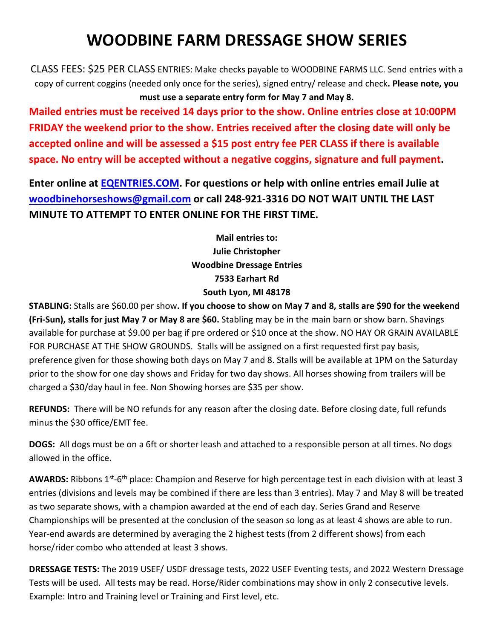CLASS FEES: \$25 PER CLASS ENTRIES: Make checks payable to WOODBINE FARMS LLC. Send entries with a copy of current coggins (needed only once for the series), signed entry/ release and check**. Please note, you must use a separate entry form for May 7 and May 8.**

**Mailed entries must be received 14 days prior to the show. Online entries close at 10:00PM FRIDAY the weekend prior to the show. Entries received after the closing date will only be accepted online and will be assessed a \$15 post entry fee PER CLASS if there is available space. No entry will be accepted without a negative coggins, signature and full payment.** 

**Enter online at [EQENTRIES.COM.](http://eqentries.com/) For questions or help with online entries email Julie at [woodbinehorseshows@gmail.com](mailto:woodbinehorseshows@gmail.com) or call 248-921-3316 DO NOT WAIT UNTIL THE LAST MINUTE TO ATTEMPT TO ENTER ONLINE FOR THE FIRST TIME.** 

> **Mail entries to: Julie Christopher Woodbine Dressage Entries 7533 Earhart Rd South Lyon, MI 48178**

**STABLING:** Stalls are \$60.00 per show**. If you choose to show on May 7 and 8, stalls are \$90 for the weekend (Fri-Sun), stalls for just May 7 or May 8 are \$60.** Stabling may be in the main barn or show barn. Shavings available for purchase at \$9.00 per bag if pre ordered or \$10 once at the show. NO HAY OR GRAIN AVAILABLE FOR PURCHASE AT THE SHOW GROUNDS. Stalls will be assigned on a first requested first pay basis, preference given for those showing both days on May 7 and 8. Stalls will be available at 1PM on the Saturday prior to the show for one day shows and Friday for two day shows. All horses showing from trailers will be charged a \$30/day haul in fee. Non Showing horses are \$35 per show.

**REFUNDS:** There will be NO refunds for any reason after the closing date. Before closing date, full refunds minus the \$30 office/EMT fee.

**DOGS:** All dogs must be on a 6ft or shorter leash and attached to a responsible person at all times. No dogs allowed in the office.

AWARDS: Ribbons 1<sup>st</sup>-6<sup>th</sup> place: Champion and Reserve for high percentage test in each division with at least 3 entries (divisions and levels may be combined if there are less than 3 entries). May 7 and May 8 will be treated as two separate shows, with a champion awarded at the end of each day. Series Grand and Reserve Championships will be presented at the conclusion of the season so long as at least 4 shows are able to run. Year-end awards are determined by averaging the 2 highest tests (from 2 different shows) from each horse/rider combo who attended at least 3 shows.

**DRESSAGE TESTS:** The 2019 USEF/ USDF dressage tests, 2022 USEF Eventing tests, and 2022 Western Dressage Tests will be used. All tests may be read. Horse/Rider combinations may show in only 2 consecutive levels. Example: Intro and Training level or Training and First level, etc.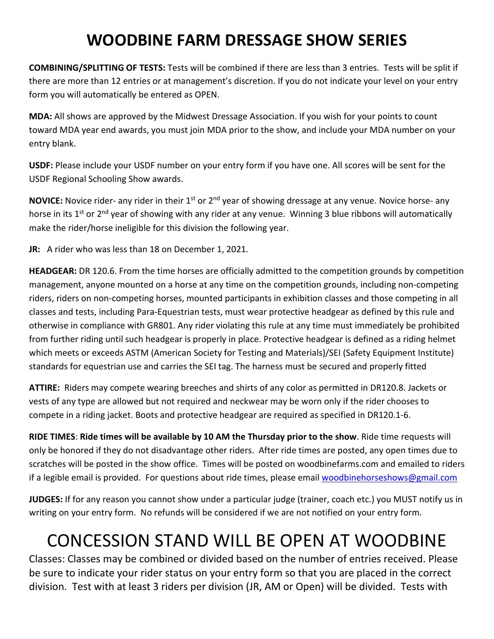**COMBINING/SPLITTING OF TESTS:** Tests will be combined if there are less than 3 entries. Tests will be split if there are more than 12 entries or at management's discretion. If you do not indicate your level on your entry form you will automatically be entered as OPEN.

**MDA:** All shows are approved by the Midwest Dressage Association. If you wish for your points to count toward MDA year end awards, you must join MDA prior to the show, and include your MDA number on your entry blank.

**USDF:** Please include your USDF number on your entry form if you have one. All scores will be sent for the USDF Regional Schooling Show awards.

**NOVICE:** Novice rider- any rider in their 1<sup>st</sup> or 2<sup>nd</sup> year of showing dressage at any venue. Novice horse- any horse in its 1<sup>st</sup> or 2<sup>nd</sup> year of showing with any rider at any venue. Winning 3 blue ribbons will automatically make the rider/horse ineligible for this division the following year.

**JR:** A rider who was less than 18 on December 1, 2021.

**HEADGEAR:** DR 120.6. From the time horses are officially admitted to the competition grounds by competition management, anyone mounted on a horse at any time on the competition grounds, including non-competing riders, riders on non-competing horses, mounted participants in exhibition classes and those competing in all classes and tests, including Para-Equestrian tests, must wear protective headgear as defined by this rule and otherwise in compliance with GR801. Any rider violating this rule at any time must immediately be prohibited from further riding until such headgear is properly in place. Protective headgear is defined as a riding helmet which meets or exceeds ASTM (American Society for Testing and Materials)/SEI (Safety Equipment Institute) standards for equestrian use and carries the SEI tag. The harness must be secured and properly fitted

**ATTIRE:** Riders may compete wearing breeches and shirts of any color as permitted in DR120.8. Jackets or vests of any type are allowed but not required and neckwear may be worn only if the rider chooses to compete in a riding jacket. Boots and protective headgear are required as specified in DR120.1-6.

**RIDE TIMES**: **Ride times will be available by 10 AM the Thursday prior to the show**. Ride time requests will only be honored if they do not disadvantage other riders. After ride times are posted, any open times due to scratches will be posted in the show office. Times will be posted on woodbinefarms.com and emailed to riders if a legible email is provided. For questions about ride times, please emai[l woodbinehorseshows@gmail.com](mailto:woodbinehorseshows@gmail.com)

**JUDGES:** If for any reason you cannot show under a particular judge (trainer, coach etc.) you MUST notify us in writing on your entry form. No refunds will be considered if we are not notified on your entry form.

# CONCESSION STAND WILL BE OPEN AT WOODBINE

Classes: Classes may be combined or divided based on the number of entries received. Please be sure to indicate your rider status on your entry form so that you are placed in the correct division. Test with at least 3 riders per division (JR, AM or Open) will be divided. Tests with